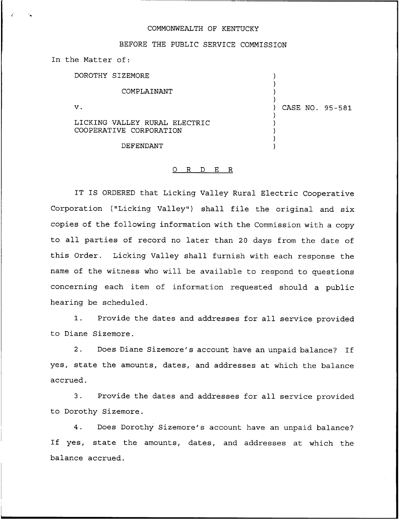## COMMONWEALTH OF KENTUCKY

## BEFORE THE PUBLIC SERVICE COMMISSION

In the Matter of:

DOROTHY SIZEMORE

COMPLAINANT

 $\mathbf v$  .

LICKING VALLEY RURAL ELECTRIC COOPERATIVE CORPORATION

DEFENDANT

## 0 R <sup>D</sup> E R

IT IS ORDERED that Licking Valley Rural Electric Cooperative Corporation ("Licking Valley") shall file the original and six copies of the following information with the Commission with a copy to all parties of record no later than <sup>20</sup> days from the date of this Order. Licking Valley shall furnish with each response the name of the witness who will be available to respond to questions concerning each item of information requested should a public hearing be scheduled.

1. Provide the dates and addresses for all service provided to Diane Sizemore.

2. Does Diane Sizemore's account have an unpaid balance? If yes, state the amounts, dates, and addresses at which the balance accrued.

3. Provide the dates and addresses for all service provided to Dorothy Sizemore.

4. Does Dorothy Sizemore's account have an unpaid balance' If yes, state the amounts, dates, and addresses at which the balance accrued.

) CASE NO. 95-581

) )

) ) ) ) )